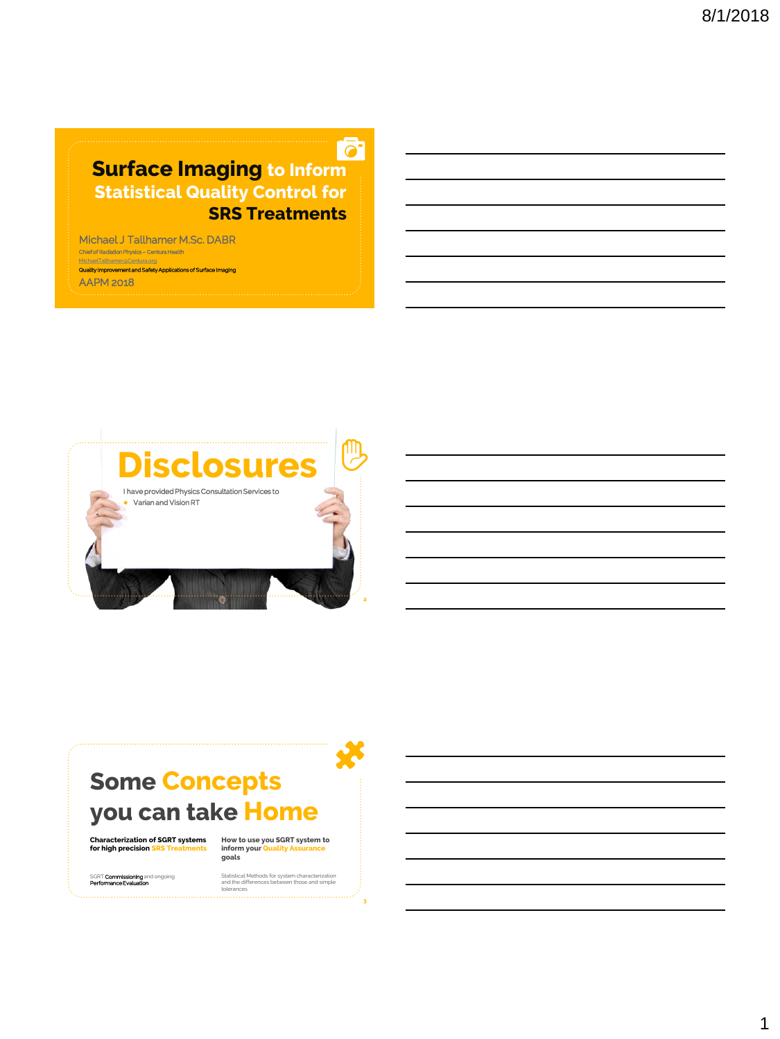**Surface Imaging to Inform** Statistical Quality Control for SRS Treatments

 $\overline{\bullet}$ 

Michael J Tallhamer M.Sc. DABR Chief of Radiation Physics - Centura Health elTallhamer@Centu Quality Improvement and Safety Applications of Surfa

AAPM 2018



## Some Concepts you can take Home

**Characterization of SGRT systems for high precision SRS Treatments**

**How to use you SGRT system to inform your Quality Assurance goals**

SGRT **Commissioning** and ongoing<br>**Performance Evaluation** 

Statistical Methods for system characterization and the differences between those and simple tolerances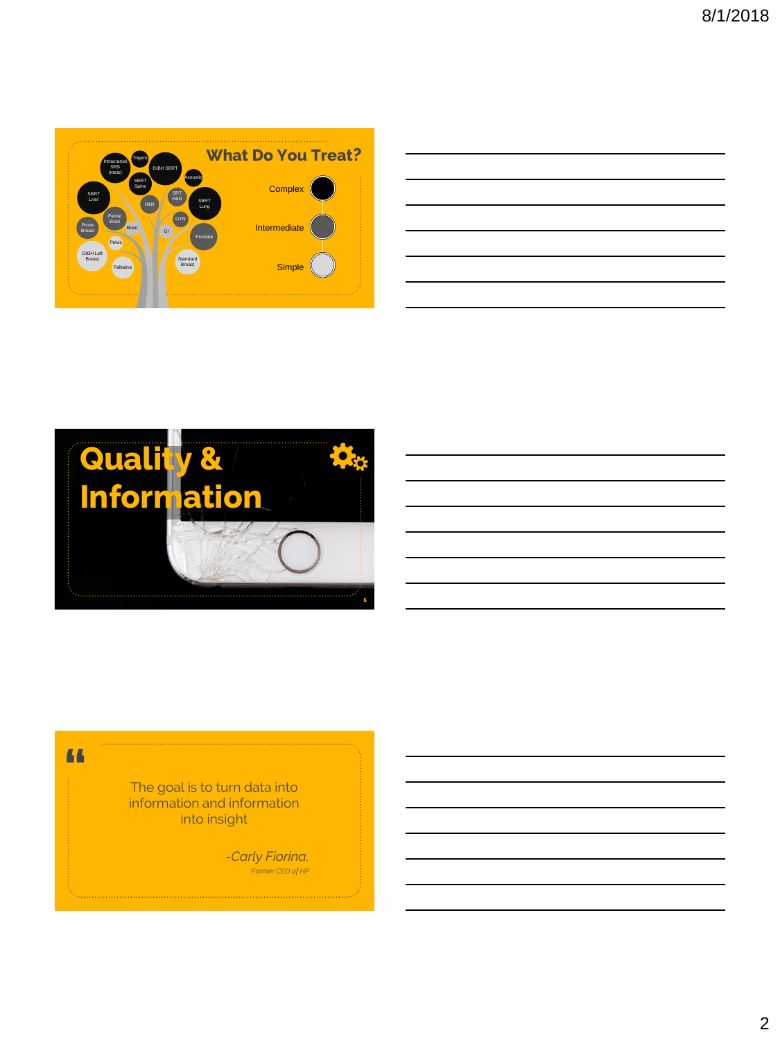

|  |  | <u> 1989 - Johann Stoff, deutscher Stoff, der Stoff, der Stoff, der Stoff, der Stoff, der Stoff, der Stoff, der S</u> |
|--|--|-----------------------------------------------------------------------------------------------------------------------|
|  |  | <u> 1989 - Johann Barn, amerikan bernama di sebagai bernama di sebagai bernama di sebagai bernama di sebagai ber</u>  |
|  |  | <u> 1989 - Johann Stoff, deutscher Stoffen und der Stoffen und der Stoffen und der Stoffen und der Stoffen und de</u> |
|  |  | <u> 1989 - Johann Stoff, deutscher Stoff, der Stoff, der Stoff, der Stoff, der Stoff, der Stoff, der Stoff, der S</u> |
|  |  | <u> 1989 - Johann Barn, amerikan bernama di sebagai bernama di sebagai bernama di sebagai bernama di sebagai ber</u>  |
|  |  | 的,我们也不会有一个人的事情。""我们的人们,我们也不会有一个人的人,我们也不会有一个人的人,我们也不会有一个人的人,我们也不会有一个人的人,我们也不会有一个人                                      |
|  |  |                                                                                                                       |



#### **"**

The goal is to turn data into information and information into insight

> *-Carly Fiorina, Former CEO of HP*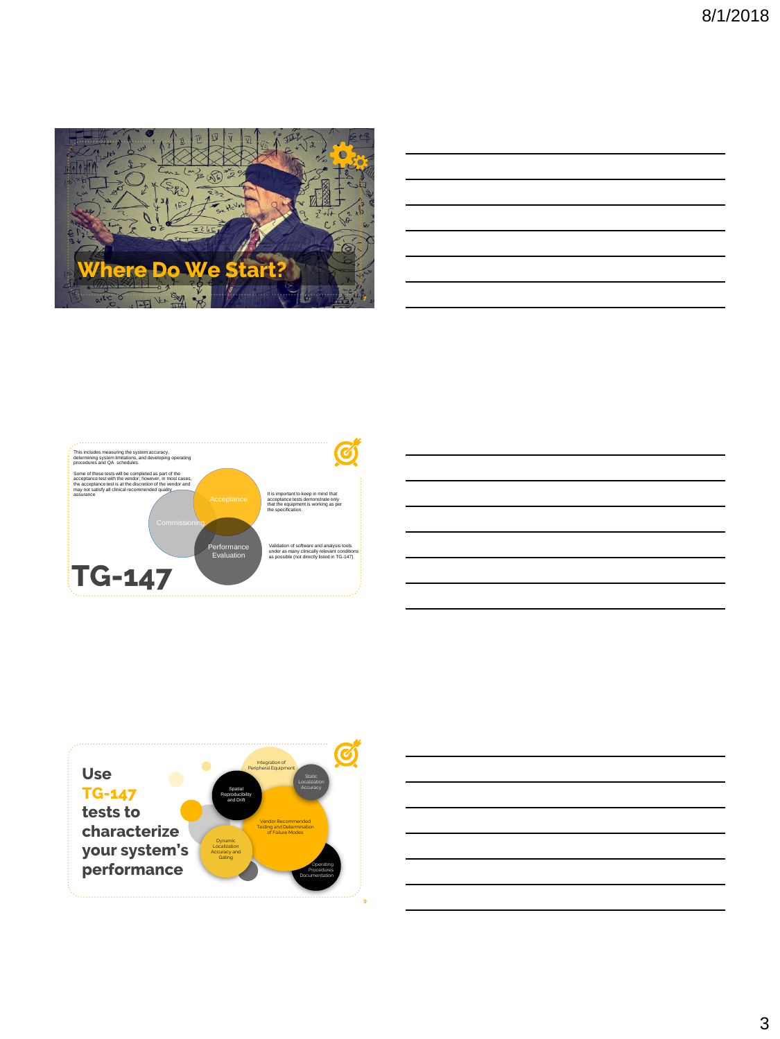

| the control of the control of the control of the control of the control of the control of the control of the control of the control of the control of the control of the control of the control of the control of the control |  |  |  |
|-------------------------------------------------------------------------------------------------------------------------------------------------------------------------------------------------------------------------------|--|--|--|
|                                                                                                                                                                                                                               |  |  |  |
|                                                                                                                                                                                                                               |  |  |  |
|                                                                                                                                                                                                                               |  |  |  |
|                                                                                                                                                                                                                               |  |  |  |
|                                                                                                                                                                                                                               |  |  |  |



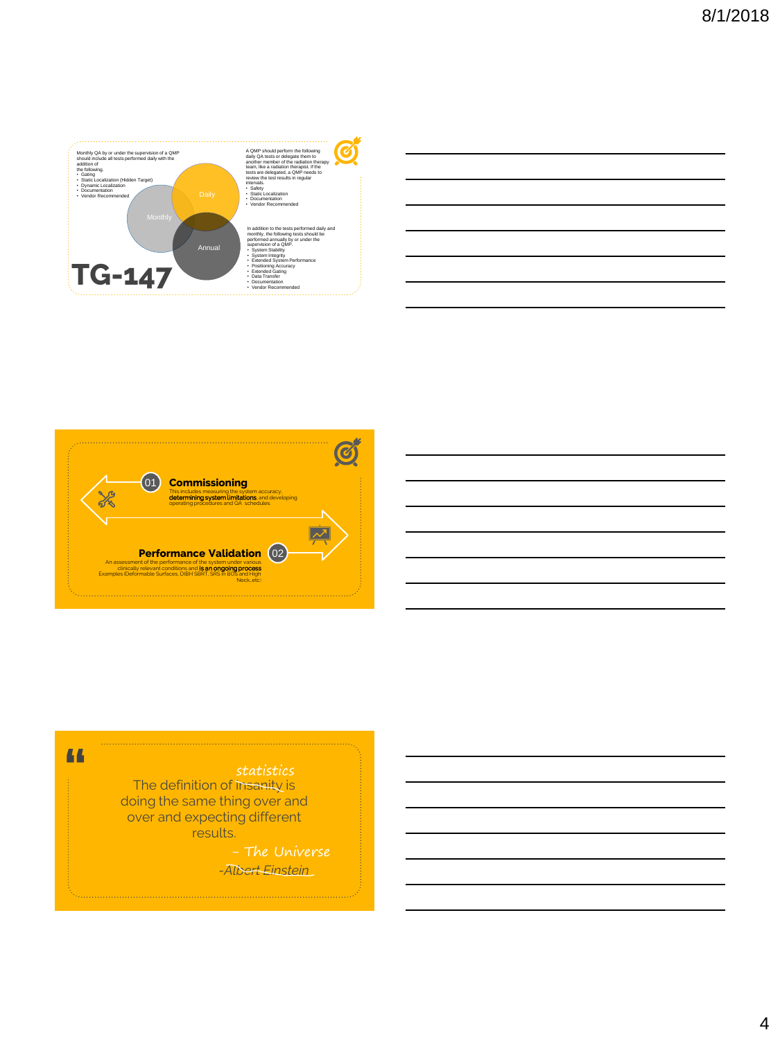



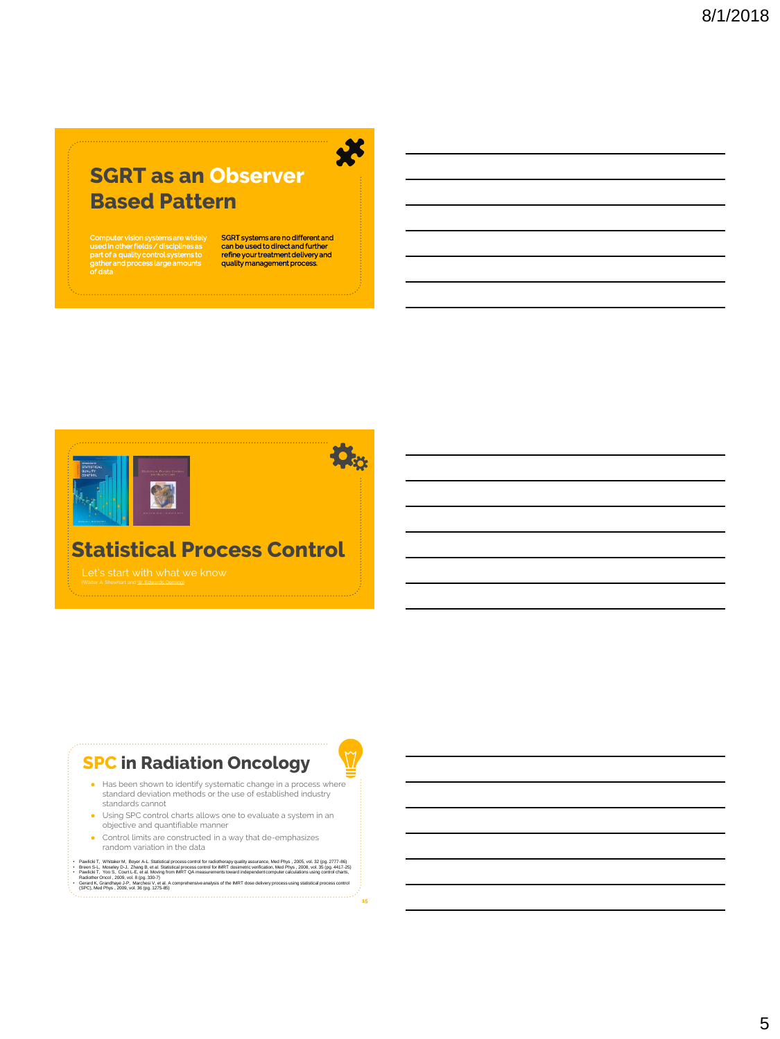### SGRT as an Observer Based Pattern

Computer vision systems are widely used in other fields / disciplines as part of a quality control systems to gather and process large amounts of data

SGRT systems are no different and can be used to direct and further refine your treatment delivery and quality management process.





**SE** 

15

### Statistical Process Control

(Walter A. Shewhart and W. Edwards Deming)

#### SPC in Radiation Oncology

- Has been shown to identify systematic change in a process where standard deviation methods or the use of established industry standards cannot
- Using SPC control charts allows one to evaluate a system in an objective and quantifiable manner
- Control limits are constructed in a way that de-emphasizes random variation in the data
- Pawiricki T, Whisker M, Boyer A.L Statistical process control for radiotherapy quality assurance, Med Phys, 2005, tot. 23 (pg. 2777-89)<br>• Breen S-L, Moseley D-J, Zhang B, et al. Statistical process control for IMRT dosim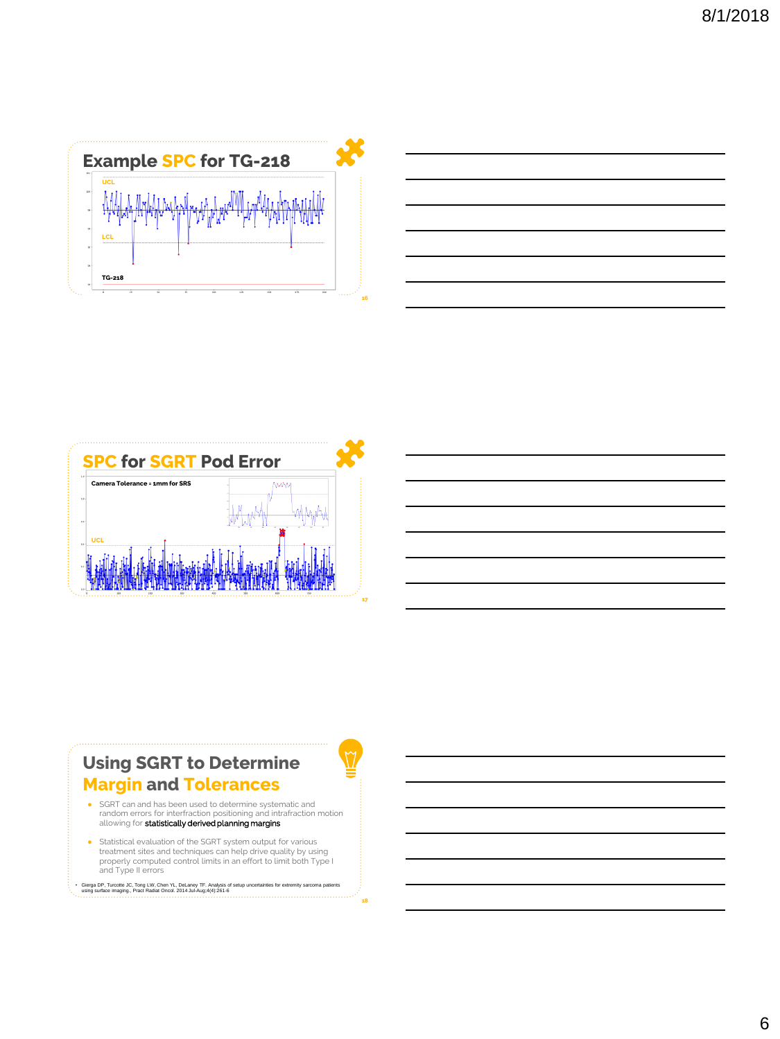





#### Using SGRT to Determine Margin and Tolerances

- SGRT can and has been used to determine systematic and random errors for interfraction positioning and intrafraction motion allowing for statistically derived planning margins
- Statistical evaluation of the SGRT system output for various treatment sites and techniques can help drive quality by using properly computed control limits in an effort to limit both Type I and Type II errors

```
• Gierga DP, Turcotte JC, Tong LW, Chen YL, DeLaney TF. Analysis of setup uncertainties for extremity sarcoma patients 
using surface imaging., Pract Radiat Oncol. 2014 Jul-Aug;4(4):261-6
```
18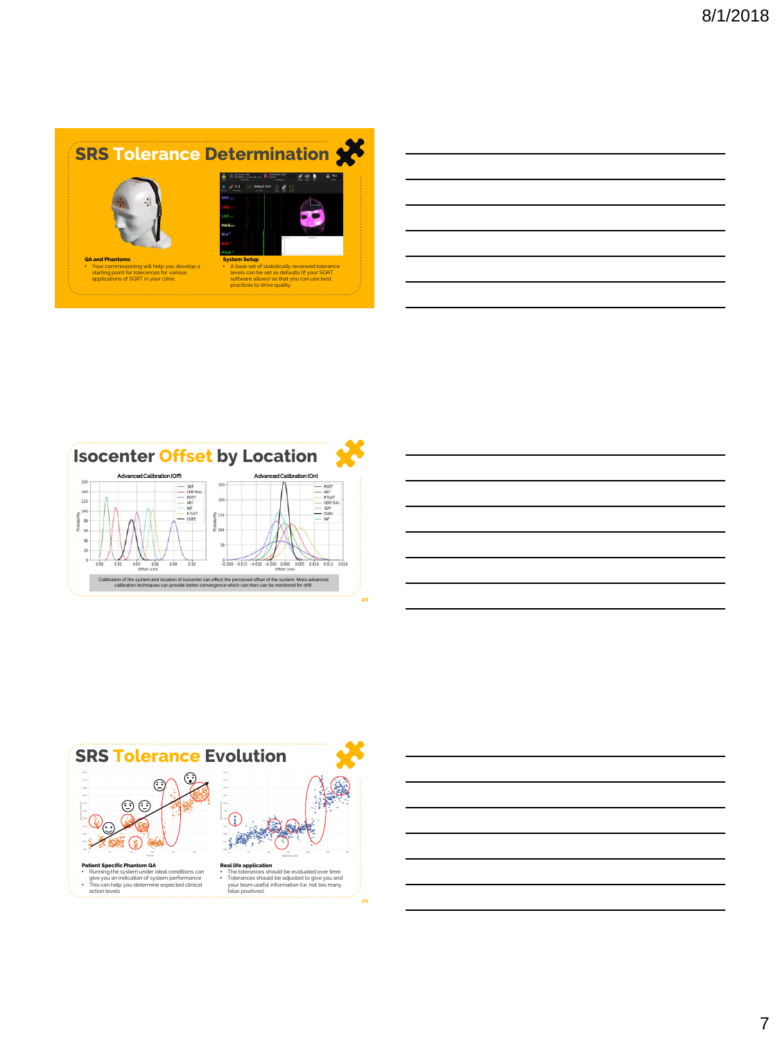



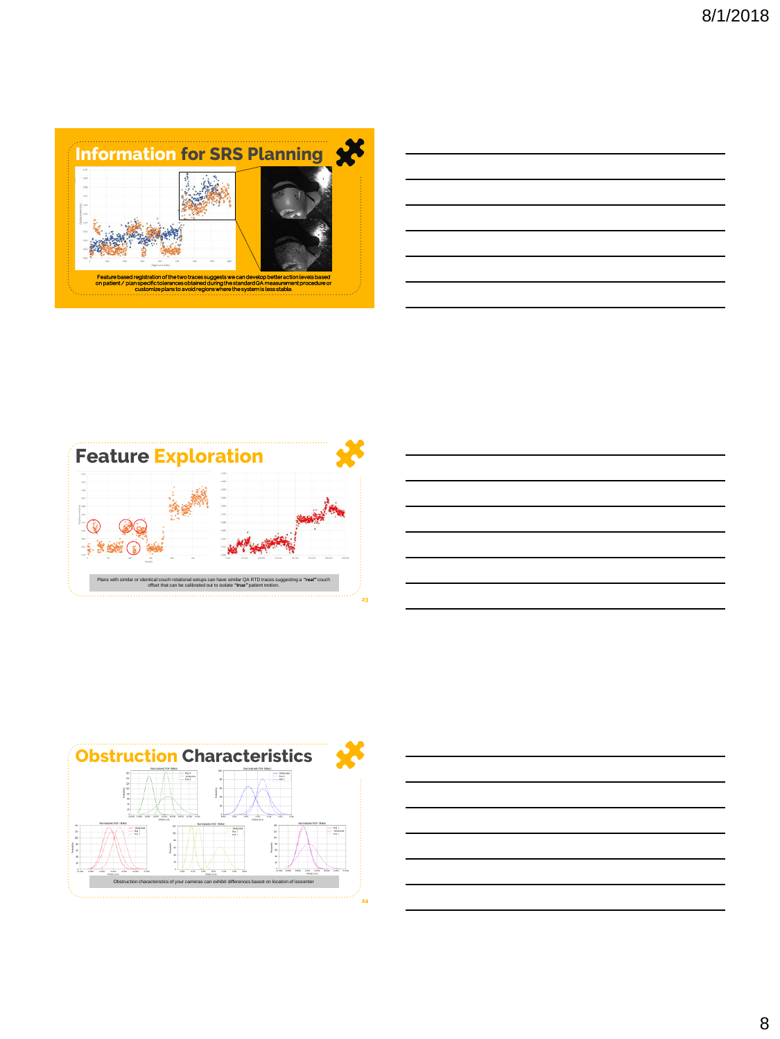







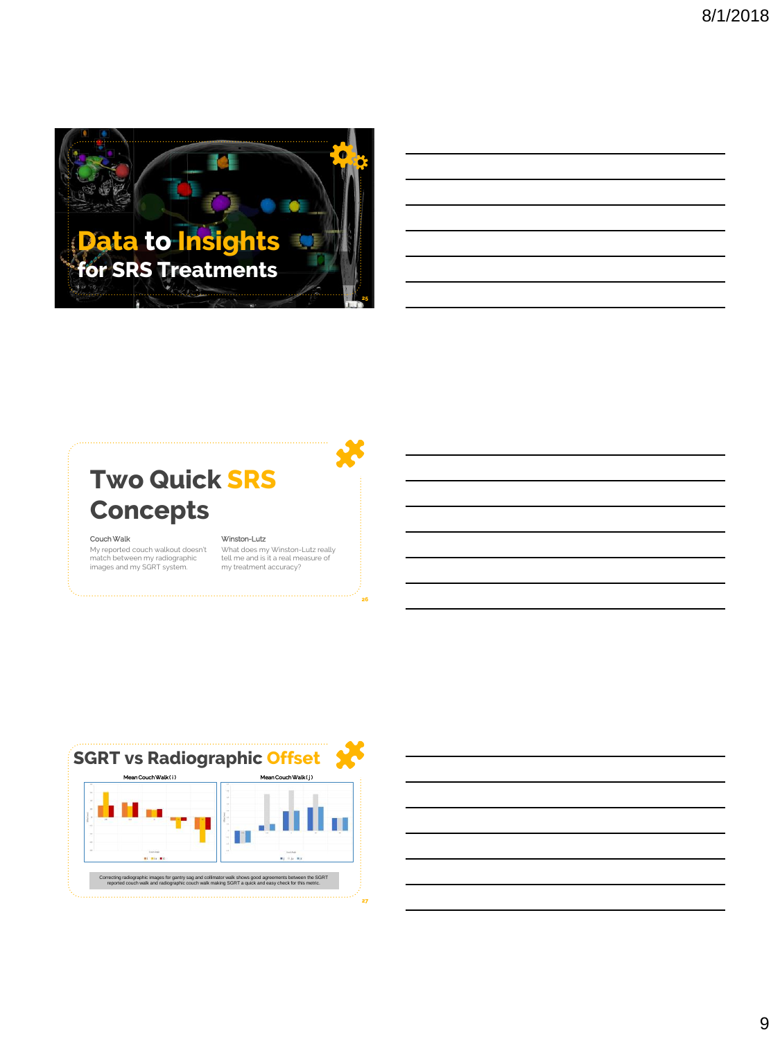

# Two Quick SRS **Concepts**

#### Couch Walk

My reported couch walkout doesn't match between my radiographic images and my SGRT system.

#### Winston-Lutz

What does my Winston-Lutz really tell me and is it a real measure of my treatment accuracy?

26



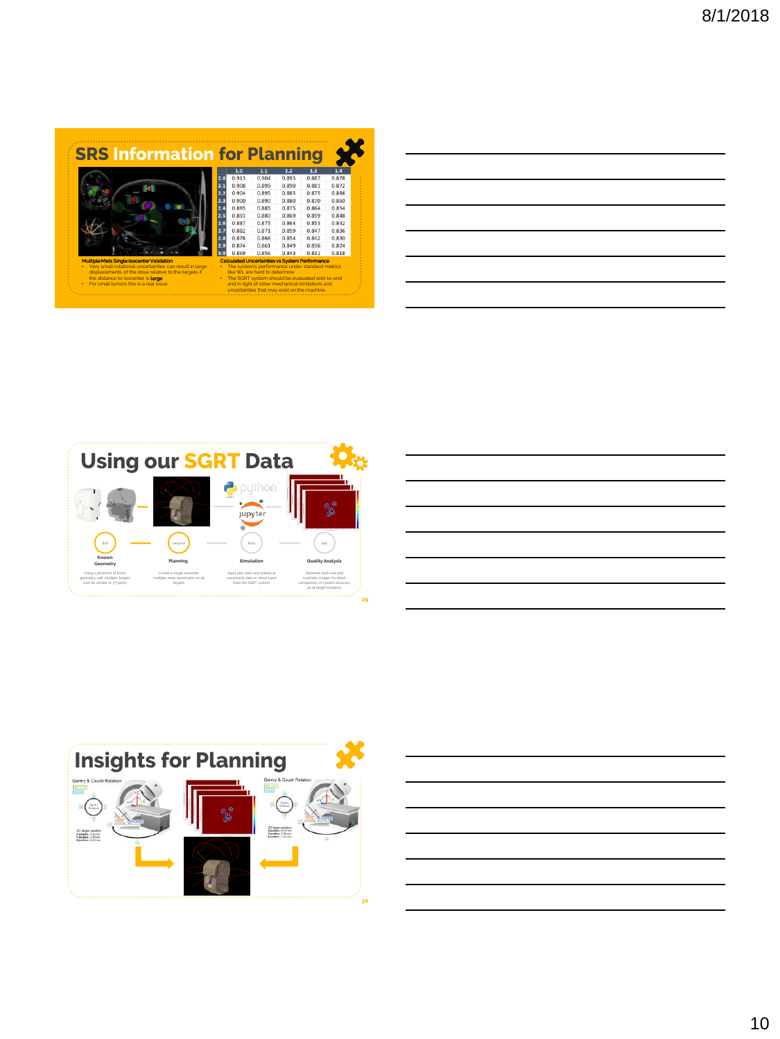|                                                                                            |                                                |                                                                                 | <b>SRS Information for Planning</b> |       |       |
|--------------------------------------------------------------------------------------------|------------------------------------------------|---------------------------------------------------------------------------------|-------------------------------------|-------|-------|
|                                                                                            | 1.0                                            | 1.1                                                                             | 1.2                                 | 1.3   | 1.4   |
|                                                                                            | 0.913                                          | 0.904                                                                           | 0.895                               | 0.887 | 0.878 |
|                                                                                            | 0.908<br>2.1                                   | 0.899                                                                           | 0.890                               | 0.881 | 0.872 |
|                                                                                            | 0.904<br>2.2                                   | 0.895                                                                           | 0.885                               | 0.875 | 0.866 |
|                                                                                            | 2.3<br>0.900                                   | 0.890                                                                           | 0.880                               | 0.870 | 0.860 |
|                                                                                            | 2.4<br>0.895                                   | 0.885                                                                           | 0.875                               | 0.864 | 0.854 |
|                                                                                            | 0.891<br>2.5                                   | 0.880                                                                           | 0.869                               | 0.859 | 0.848 |
|                                                                                            | 0.887<br>2.6                                   | 0.875                                                                           | 0.864                               | 0.853 | 0.842 |
|                                                                                            | 0.882<br>2.7                                   | 0.871                                                                           | 0.859                               | 0.847 | 0.836 |
|                                                                                            | 0.878<br>2.8                                   | 0.866                                                                           | 0.854                               | 0.842 | 0.830 |
|                                                                                            | 0.874                                          | 0.861                                                                           | 0.849                               | 0.836 | 0.824 |
|                                                                                            | 0.869                                          | 0.856                                                                           | 0.843                               | 0.831 | 0.818 |
| Multiple Mets Single Isocenter Validation                                                  | Calculated Uncertainties vs System Performance |                                                                                 |                                     |       |       |
| Very small rotational uncertainties can result in large                                    |                                                | The system's performance under standard metrics                                 |                                     |       |       |
| displacements of the dose relative to the targets if<br>the distance to isocenter is large | ٠                                              | like WI are hard to determine<br>The SGRT system should be evaluated end-to-end |                                     |       |       |
| For small tumors this is a real issue.                                                     |                                                | and in light of other mechanical limitations and                                |                                     |       |       |
|                                                                                            |                                                | uncertainties that may exist on the machine.                                    |                                     |       |       |

| __ |  |  |
|----|--|--|
|    |  |  |
|    |  |  |
|    |  |  |
|    |  |  |
|    |  |  |
|    |  |  |